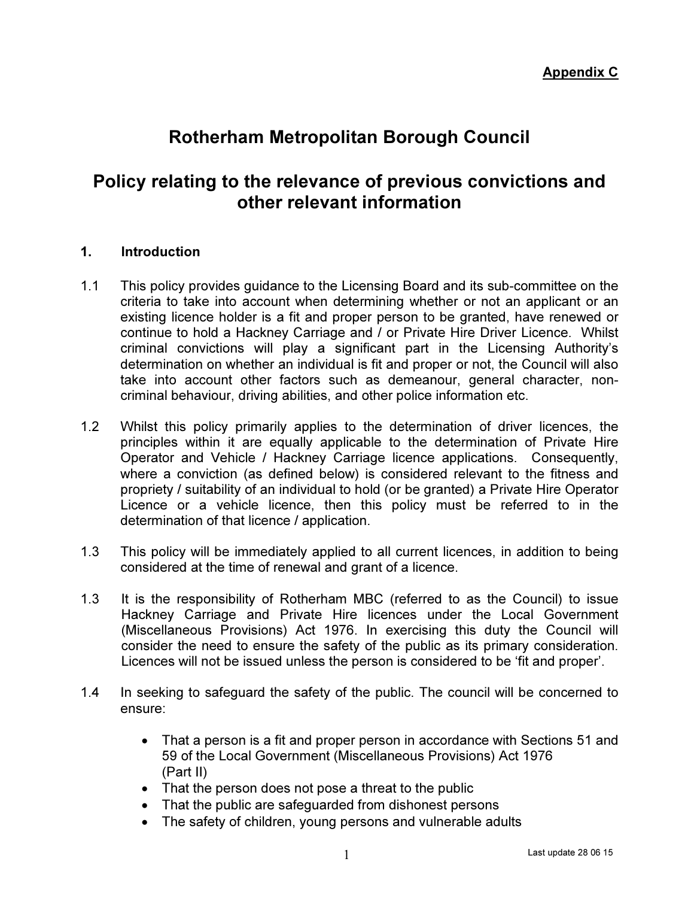# Rotherham Metropolitan Borough Council

# Policy relating to the relevance of previous convictions and other relevant information

#### 1. Introduction

- 1.1 This policy provides guidance to the Licensing Board and its sub-committee on the criteria to take into account when determining whether or not an applicant or an existing licence holder is a fit and proper person to be granted, have renewed or continue to hold a Hackney Carriage and / or Private Hire Driver Licence. Whilst criminal convictions will play a significant part in the Licensing Authority's determination on whether an individual is fit and proper or not, the Council will also take into account other factors such as demeanour, general character, noncriminal behaviour, driving abilities, and other police information etc.
- 1.2 Whilst this policy primarily applies to the determination of driver licences, the principles within it are equally applicable to the determination of Private Hire Operator and Vehicle / Hackney Carriage licence applications. Consequently, where a conviction (as defined below) is considered relevant to the fitness and propriety / suitability of an individual to hold (or be granted) a Private Hire Operator Licence or a vehicle licence, then this policy must be referred to in the determination of that licence / application.
- 1.3 This policy will be immediately applied to all current licences, in addition to being considered at the time of renewal and grant of a licence.
- 1.3 It is the responsibility of Rotherham MBC (referred to as the Council) to issue Hackney Carriage and Private Hire licences under the Local Government (Miscellaneous Provisions) Act 1976. In exercising this duty the Council will consider the need to ensure the safety of the public as its primary consideration. Licences will not be issued unless the person is considered to be 'fit and proper'.
- 1.4 In seeking to safeguard the safety of the public. The council will be concerned to ensure:
	- That a person is a fit and proper person in accordance with Sections 51 and 59 of the Local Government (Miscellaneous Provisions) Act 1976 (Part II)
	- That the person does not pose a threat to the public
	- That the public are safeguarded from dishonest persons
	- The safety of children, young persons and vulnerable adults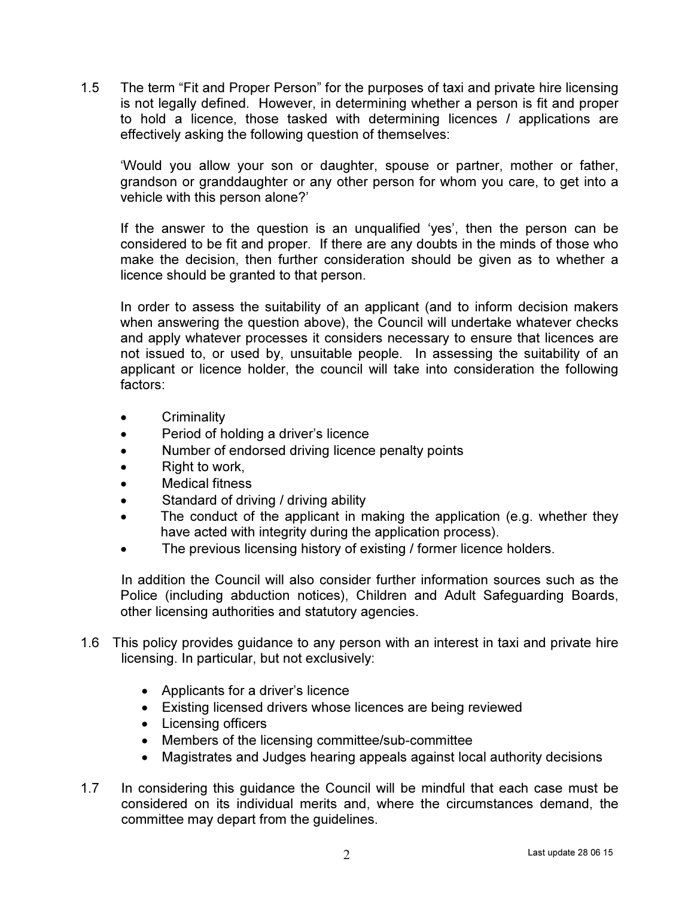1.5 The term "Fit and Proper Person" for the purposes of taxi and private hire licensing is not legally defined. However, in determining whether a person is fit and proper to hold a licence, those tasked with determining licences / applications are effectively asking the following question of themselves:

'Would you allow your son or daughter, spouse or partner, mother or father, grandson or granddaughter or any other person for whom you care, to get into a vehicle with this person alone?'

If the answer to the question is an unqualified 'yes', then the person can be considered to be fit and proper. If there are any doubts in the minds of those who make the decision, then further consideration should be given as to whether a licence should be granted to that person.

In order to assess the suitability of an applicant (and to inform decision makers when answering the question above), the Council will undertake whatever checks and apply whatever processes it considers necessary to ensure that licences are not issued to, or used by, unsuitable people. In assessing the suitability of an applicant or licence holder, the council will take into consideration the following factors:

- Criminality
- Period of holding a driver's licence
- Number of endorsed driving licence penalty points
- Right to work,
- Medical fitness
- Standard of driving / driving ability
- The conduct of the applicant in making the application (e.g. whether they have acted with integrity during the application process).
- The previous licensing history of existing / former licence holders.

 In addition the Council will also consider further information sources such as the Police (including abduction notices), Children and Adult Safeguarding Boards, other licensing authorities and statutory agencies.

- 1.6 This policy provides guidance to any person with an interest in taxi and private hire licensing. In particular, but not exclusively:
	- Applicants for a driver's licence
	- Existing licensed drivers whose licences are being reviewed
	- Licensing officers
	- Members of the licensing committee/sub-committee
	- Magistrates and Judges hearing appeals against local authority decisions
- 1.7 In considering this guidance the Council will be mindful that each case must be considered on its individual merits and, where the circumstances demand, the committee may depart from the guidelines.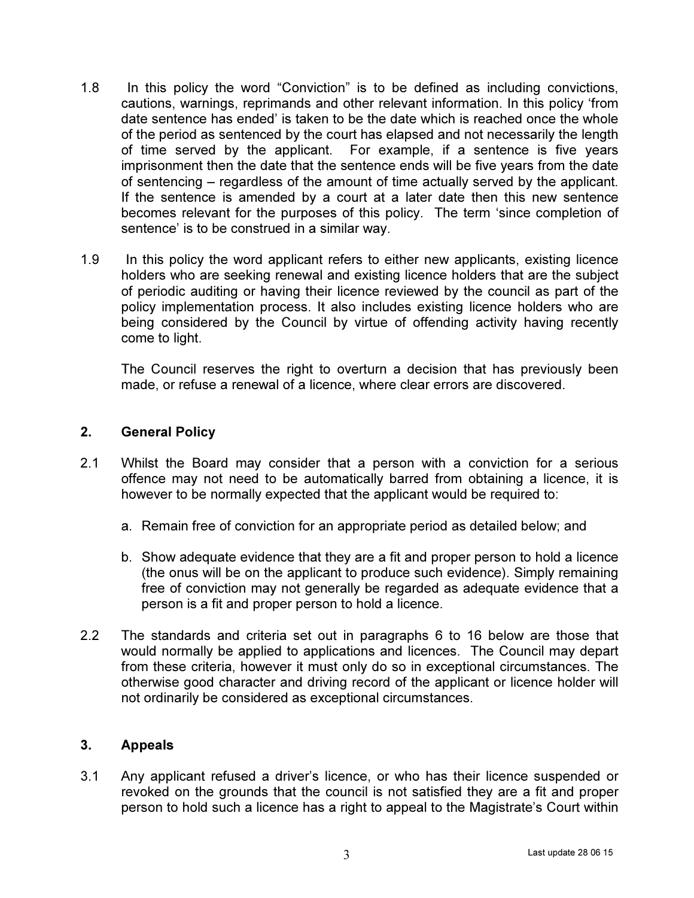- 1.8 In this policy the word "Conviction" is to be defined as including convictions, cautions, warnings, reprimands and other relevant information. In this policy 'from date sentence has ended' is taken to be the date which is reached once the whole of the period as sentenced by the court has elapsed and not necessarily the length of time served by the applicant. For example, if a sentence is five years imprisonment then the date that the sentence ends will be five years from the date of sentencing – regardless of the amount of time actually served by the applicant. If the sentence is amended by a court at a later date then this new sentence becomes relevant for the purposes of this policy. The term 'since completion of sentence' is to be construed in a similar way.
- 1.9 In this policy the word applicant refers to either new applicants, existing licence holders who are seeking renewal and existing licence holders that are the subject of periodic auditing or having their licence reviewed by the council as part of the policy implementation process. It also includes existing licence holders who are being considered by the Council by virtue of offending activity having recently come to light.

The Council reserves the right to overturn a decision that has previously been made, or refuse a renewal of a licence, where clear errors are discovered.

## 2. General Policy

- 2.1 Whilst the Board may consider that a person with a conviction for a serious offence may not need to be automatically barred from obtaining a licence, it is however to be normally expected that the applicant would be required to:
	- a. Remain free of conviction for an appropriate period as detailed below; and
	- b. Show adequate evidence that they are a fit and proper person to hold a licence (the onus will be on the applicant to produce such evidence). Simply remaining free of conviction may not generally be regarded as adequate evidence that a person is a fit and proper person to hold a licence.
- 2.2 The standards and criteria set out in paragraphs 6 to 16 below are those that would normally be applied to applications and licences. The Council may depart from these criteria, however it must only do so in exceptional circumstances. The otherwise good character and driving record of the applicant or licence holder will not ordinarily be considered as exceptional circumstances.

#### 3. Appeals

3.1 Any applicant refused a driver's licence, or who has their licence suspended or revoked on the grounds that the council is not satisfied they are a fit and proper person to hold such a licence has a right to appeal to the Magistrate's Court within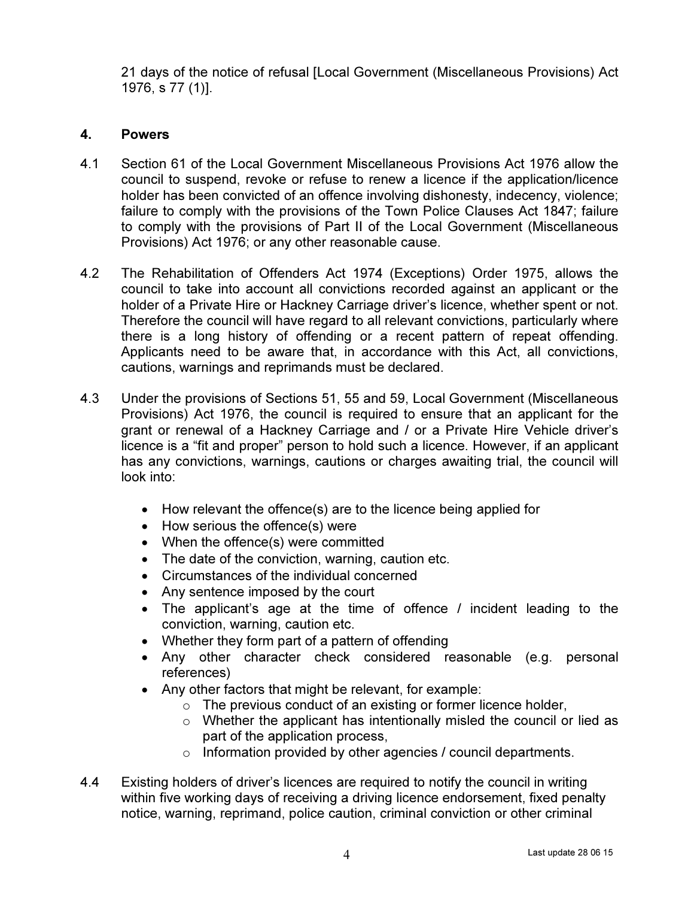21 days of the notice of refusal [Local Government (Miscellaneous Provisions) Act 1976, s 77 (1)].

# 4. Powers

- 4.1 Section 61 of the Local Government Miscellaneous Provisions Act 1976 allow the council to suspend, revoke or refuse to renew a licence if the application/licence holder has been convicted of an offence involving dishonesty, indecency, violence; failure to comply with the provisions of the Town Police Clauses Act 1847; failure to comply with the provisions of Part II of the Local Government (Miscellaneous Provisions) Act 1976; or any other reasonable cause.
- 4.2 The Rehabilitation of Offenders Act 1974 (Exceptions) Order 1975, allows the council to take into account all convictions recorded against an applicant or the holder of a Private Hire or Hackney Carriage driver's licence, whether spent or not. Therefore the council will have regard to all relevant convictions, particularly where there is a long history of offending or a recent pattern of repeat offending. Applicants need to be aware that, in accordance with this Act, all convictions, cautions, warnings and reprimands must be declared.
- 4.3 Under the provisions of Sections 51, 55 and 59, Local Government (Miscellaneous Provisions) Act 1976, the council is required to ensure that an applicant for the grant or renewal of a Hackney Carriage and / or a Private Hire Vehicle driver's licence is a "fit and proper" person to hold such a licence. However, if an applicant has any convictions, warnings, cautions or charges awaiting trial, the council will look into:
	- How relevant the offence(s) are to the licence being applied for
	- How serious the offence(s) were
	- When the offence(s) were committed
	- The date of the conviction, warning, caution etc.
	- Circumstances of the individual concerned
	- Any sentence imposed by the court
	- The applicant's age at the time of offence / incident leading to the conviction, warning, caution etc.
	- Whether they form part of a pattern of offending
	- Any other character check considered reasonable (e.g. personal references)
	- Any other factors that might be relevant, for example:
		- o The previous conduct of an existing or former licence holder,
		- $\circ$  Whether the applicant has intentionally misled the council or lied as part of the application process,
		- o Information provided by other agencies / council departments.
- 4.4 Existing holders of driver's licences are required to notify the council in writing within five working days of receiving a driving licence endorsement, fixed penalty notice, warning, reprimand, police caution, criminal conviction or other criminal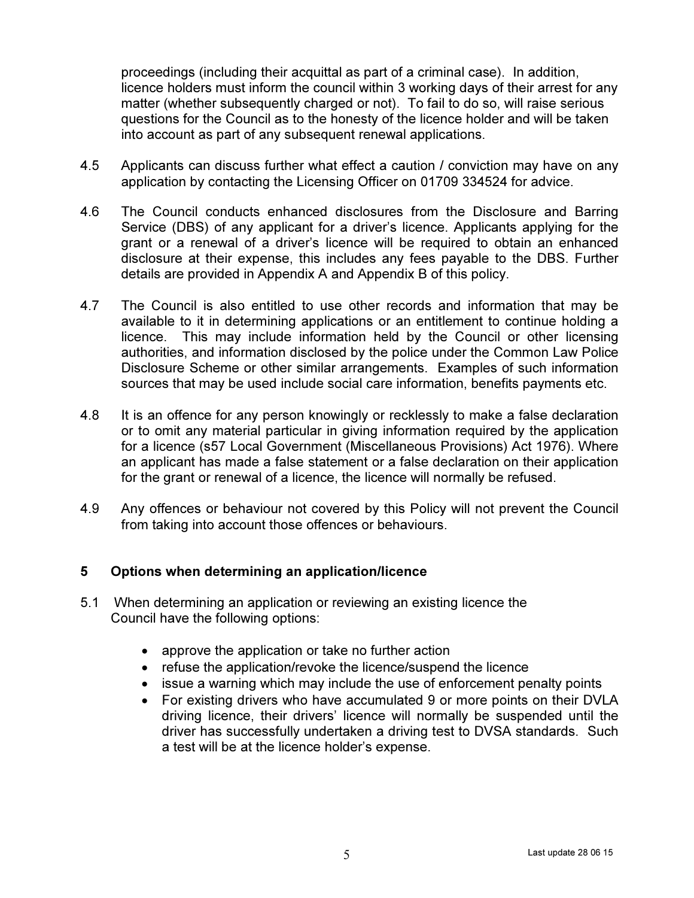proceedings (including their acquittal as part of a criminal case). In addition, licence holders must inform the council within 3 working days of their arrest for any matter (whether subsequently charged or not). To fail to do so, will raise serious questions for the Council as to the honesty of the licence holder and will be taken into account as part of any subsequent renewal applications.

- 4.5 Applicants can discuss further what effect a caution / conviction may have on any application by contacting the Licensing Officer on 01709 334524 for advice.
- 4.6 The Council conducts enhanced disclosures from the Disclosure and Barring Service (DBS) of any applicant for a driver's licence. Applicants applying for the grant or a renewal of a driver's licence will be required to obtain an enhanced disclosure at their expense, this includes any fees payable to the DBS. Further details are provided in Appendix A and Appendix B of this policy.
- 4.7 The Council is also entitled to use other records and information that may be available to it in determining applications or an entitlement to continue holding a licence. This may include information held by the Council or other licensing authorities, and information disclosed by the police under the Common Law Police Disclosure Scheme or other similar arrangements. Examples of such information sources that may be used include social care information, benefits payments etc.
- 4.8 It is an offence for any person knowingly or recklessly to make a false declaration or to omit any material particular in giving information required by the application for a licence (s57 Local Government (Miscellaneous Provisions) Act 1976). Where an applicant has made a false statement or a false declaration on their application for the grant or renewal of a licence, the licence will normally be refused.
- 4.9 Any offences or behaviour not covered by this Policy will not prevent the Council from taking into account those offences or behaviours.

## 5 Options when determining an application/licence

- 5.1 When determining an application or reviewing an existing licence the Council have the following options:
	- approve the application or take no further action
	- refuse the application/revoke the licence/suspend the licence
	- issue a warning which may include the use of enforcement penalty points
	- For existing drivers who have accumulated 9 or more points on their DVLA driving licence, their drivers' licence will normally be suspended until the driver has successfully undertaken a driving test to DVSA standards. Such a test will be at the licence holder's expense.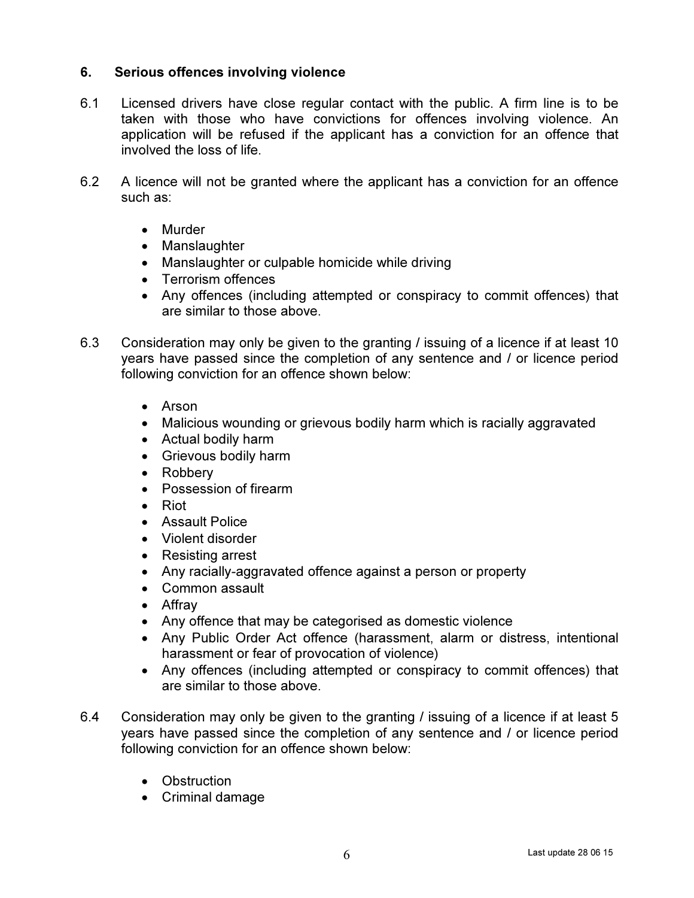# 6. Serious offences involving violence

- 6.1 Licensed drivers have close regular contact with the public. A firm line is to be taken with those who have convictions for offences involving violence. An application will be refused if the applicant has a conviction for an offence that involved the loss of life.
- 6.2 A licence will not be granted where the applicant has a conviction for an offence such as:
	- Murder
	- Manslaughter
	- Manslaughter or culpable homicide while driving
	- Terrorism offences
	- Any offences (including attempted or conspiracy to commit offences) that are similar to those above.
- 6.3 Consideration may only be given to the granting / issuing of a licence if at least 10 years have passed since the completion of any sentence and / or licence period following conviction for an offence shown below:
	- Arson
	- Malicious wounding or grievous bodily harm which is racially aggravated
	- Actual bodily harm
	- Grievous bodily harm
	- Robbery
	- Possession of firearm
	- Riot
	- Assault Police
	- Violent disorder
	- Resisting arrest
	- Any racially-aggravated offence against a person or property
	- Common assault
	- Affray
	- Any offence that may be categorised as domestic violence
	- Any Public Order Act offence (harassment, alarm or distress, intentional harassment or fear of provocation of violence)
	- Any offences (including attempted or conspiracy to commit offences) that are similar to those above.
- 6.4 Consideration may only be given to the granting / issuing of a licence if at least 5 years have passed since the completion of any sentence and / or licence period following conviction for an offence shown below:
	- Obstruction
	- Criminal damage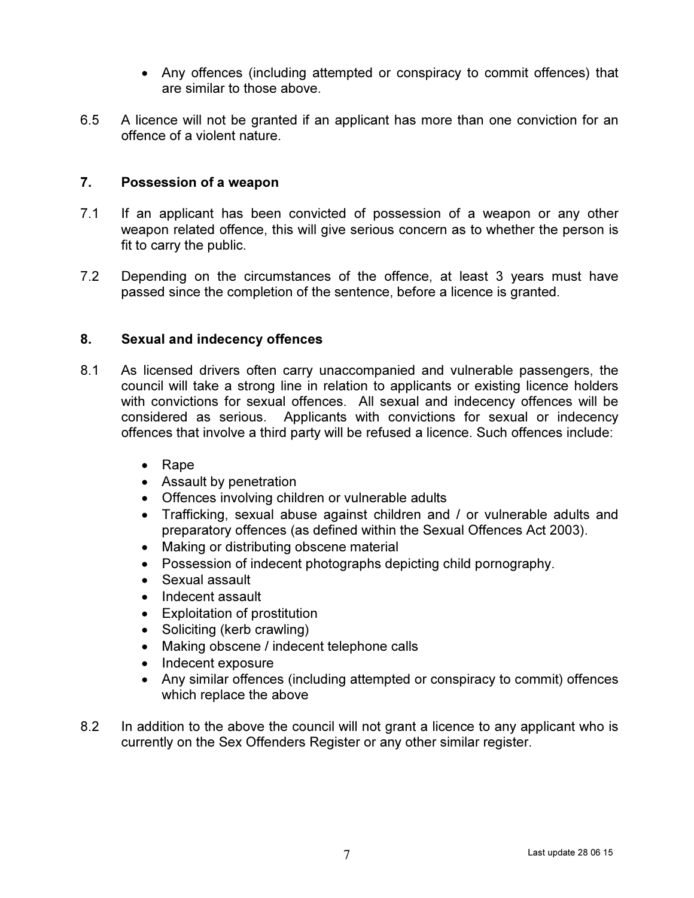- Any offences (including attempted or conspiracy to commit offences) that are similar to those above.
- 6.5 A licence will not be granted if an applicant has more than one conviction for an offence of a violent nature.

## 7. Possession of a weapon

- 7.1 If an applicant has been convicted of possession of a weapon or any other weapon related offence, this will give serious concern as to whether the person is fit to carry the public.
- 7.2 Depending on the circumstances of the offence, at least 3 years must have passed since the completion of the sentence, before a licence is granted.

## 8. Sexual and indecency offences

- 8.1 As licensed drivers often carry unaccompanied and vulnerable passengers, the council will take a strong line in relation to applicants or existing licence holders with convictions for sexual offences. All sexual and indecency offences will be considered as serious. Applicants with convictions for sexual or indecency offences that involve a third party will be refused a licence. Such offences include:
	- Rape
	- Assault by penetration
	- Offences involving children or vulnerable adults
	- Trafficking, sexual abuse against children and / or vulnerable adults and preparatory offences (as defined within the Sexual Offences Act 2003).
	- Making or distributing obscene material
	- Possession of indecent photographs depicting child pornography.
	- Sexual assault
	- Indecent assault
	- Exploitation of prostitution
	- Soliciting (kerb crawling)
	- Making obscene / indecent telephone calls
	- Indecent exposure
	- Any similar offences (including attempted or conspiracy to commit) offences which replace the above
- 8.2 In addition to the above the council will not grant a licence to any applicant who is currently on the Sex Offenders Register or any other similar register.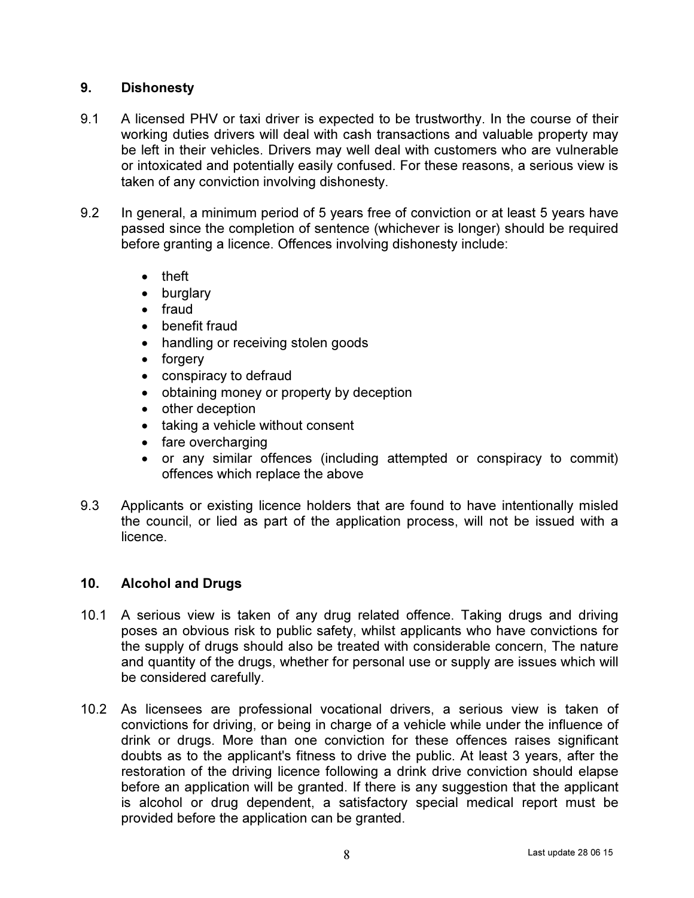# 9. Dishonesty

- 9.1 A licensed PHV or taxi driver is expected to be trustworthy. In the course of their working duties drivers will deal with cash transactions and valuable property may be left in their vehicles. Drivers may well deal with customers who are vulnerable or intoxicated and potentially easily confused. For these reasons, a serious view is taken of any conviction involving dishonesty.
- 9.2 In general, a minimum period of 5 years free of conviction or at least 5 years have passed since the completion of sentence (whichever is longer) should be required before granting a licence. Offences involving dishonesty include:
	- theft
	- burglary
	- fraud
	- benefit fraud
	- handling or receiving stolen goods
	- forgery
	- conspiracy to defraud
	- obtaining money or property by deception
	- other deception
	- taking a vehicle without consent
	- fare overcharging
	- or any similar offences (including attempted or conspiracy to commit) offences which replace the above
- 9.3 Applicants or existing licence holders that are found to have intentionally misled the council, or lied as part of the application process, will not be issued with a licence.

## 10. Alcohol and Drugs

- 10.1 A serious view is taken of any drug related offence. Taking drugs and driving poses an obvious risk to public safety, whilst applicants who have convictions for the supply of drugs should also be treated with considerable concern, The nature and quantity of the drugs, whether for personal use or supply are issues which will be considered carefully.
- 10.2 As licensees are professional vocational drivers, a serious view is taken of convictions for driving, or being in charge of a vehicle while under the influence of drink or drugs. More than one conviction for these offences raises significant doubts as to the applicant's fitness to drive the public. At least 3 years, after the restoration of the driving licence following a drink drive conviction should elapse before an application will be granted. If there is any suggestion that the applicant is alcohol or drug dependent, a satisfactory special medical report must be provided before the application can be granted.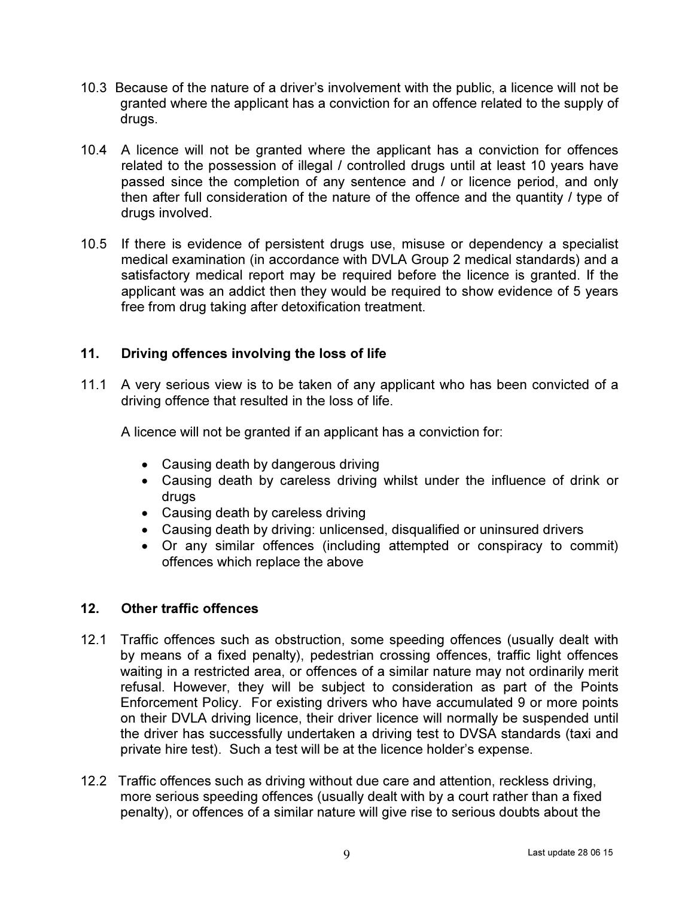- 10.3 Because of the nature of a driver's involvement with the public, a licence will not be granted where the applicant has a conviction for an offence related to the supply of drugs.
- 10.4 A licence will not be granted where the applicant has a conviction for offences related to the possession of illegal / controlled drugs until at least 10 years have passed since the completion of any sentence and / or licence period, and only then after full consideration of the nature of the offence and the quantity / type of drugs involved.
- 10.5 If there is evidence of persistent drugs use, misuse or dependency a specialist medical examination (in accordance with DVLA Group 2 medical standards) and a satisfactory medical report may be required before the licence is granted. If the applicant was an addict then they would be required to show evidence of 5 years free from drug taking after detoxification treatment.

## 11. Driving offences involving the loss of life

11.1 A very serious view is to be taken of any applicant who has been convicted of a driving offence that resulted in the loss of life.

A licence will not be granted if an applicant has a conviction for:

- Causing death by dangerous driving
- Causing death by careless driving whilst under the influence of drink or drugs
- Causing death by careless driving
- Causing death by driving: unlicensed, disqualified or uninsured drivers
- Or any similar offences (including attempted or conspiracy to commit) offences which replace the above

## 12. Other traffic offences

- 12.1 Traffic offences such as obstruction, some speeding offences (usually dealt with by means of a fixed penalty), pedestrian crossing offences, traffic light offences waiting in a restricted area, or offences of a similar nature may not ordinarily merit refusal. However, they will be subject to consideration as part of the Points Enforcement Policy. For existing drivers who have accumulated 9 or more points on their DVLA driving licence, their driver licence will normally be suspended until the driver has successfully undertaken a driving test to DVSA standards (taxi and private hire test). Such a test will be at the licence holder's expense.
- 12.2 Traffic offences such as driving without due care and attention, reckless driving, more serious speeding offences (usually dealt with by a court rather than a fixed penalty), or offences of a similar nature will give rise to serious doubts about the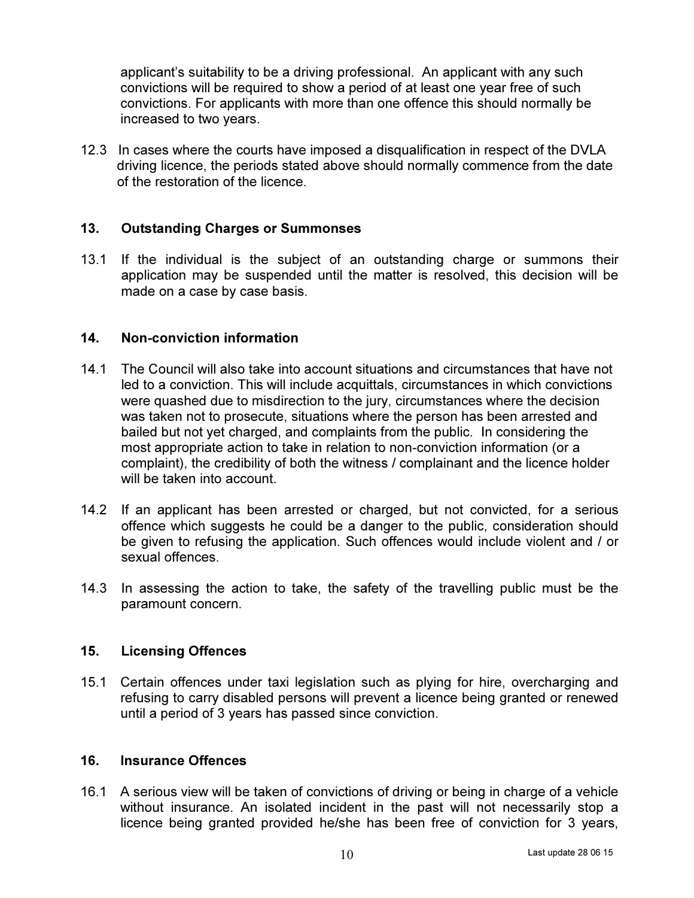applicant's suitability to be a driving professional. An applicant with any such convictions will be required to show a period of at least one year free of such convictions. For applicants with more than one offence this should normally be increased to two years.

12.3 In cases where the courts have imposed a disqualification in respect of the DVLA driving licence, the periods stated above should normally commence from the date of the restoration of the licence.

#### 13. Outstanding Charges or Summonses

13.1 If the individual is the subject of an outstanding charge or summons their application may be suspended until the matter is resolved, this decision will be made on a case by case basis.

#### 14. Non-conviction information

- 14.1 The Council will also take into account situations and circumstances that have not led to a conviction. This will include acquittals, circumstances in which convictions were quashed due to misdirection to the jury, circumstances where the decision was taken not to prosecute, situations where the person has been arrested and bailed but not yet charged, and complaints from the public. In considering the most appropriate action to take in relation to non-conviction information (or a complaint), the credibility of both the witness / complainant and the licence holder will be taken into account.
- 14.2 If an applicant has been arrested or charged, but not convicted, for a serious offence which suggests he could be a danger to the public, consideration should be given to refusing the application. Such offences would include violent and / or sexual offences.
- 14.3 In assessing the action to take, the safety of the travelling public must be the paramount concern.

#### 15. Licensing Offences

15.1 Certain offences under taxi legislation such as plying for hire, overcharging and refusing to carry disabled persons will prevent a licence being granted or renewed until a period of 3 years has passed since conviction.

#### 16. Insurance Offences

16.1 A serious view will be taken of convictions of driving or being in charge of a vehicle without insurance. An isolated incident in the past will not necessarily stop a licence being granted provided he/she has been free of conviction for 3 years,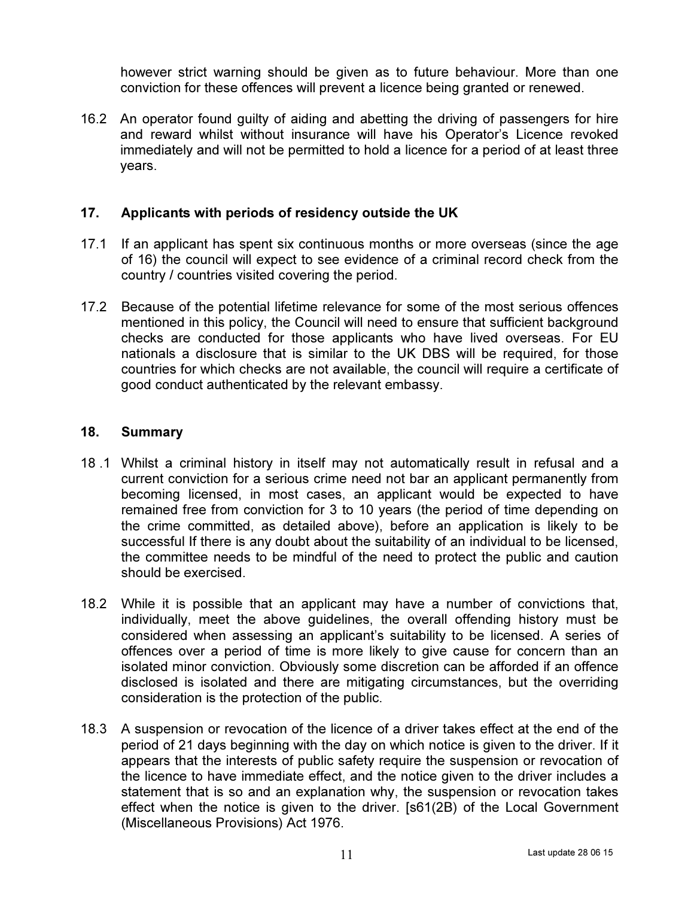however strict warning should be given as to future behaviour. More than one conviction for these offences will prevent a licence being granted or renewed.

16.2 An operator found guilty of aiding and abetting the driving of passengers for hire and reward whilst without insurance will have his Operator's Licence revoked immediately and will not be permitted to hold a licence for a period of at least three years.

# 17. Applicants with periods of residency outside the UK

- 17.1 If an applicant has spent six continuous months or more overseas (since the age of 16) the council will expect to see evidence of a criminal record check from the country / countries visited covering the period.
- 17.2 Because of the potential lifetime relevance for some of the most serious offences mentioned in this policy, the Council will need to ensure that sufficient background checks are conducted for those applicants who have lived overseas. For EU nationals a disclosure that is similar to the UK DBS will be required, for those countries for which checks are not available, the council will require a certificate of good conduct authenticated by the relevant embassy.

#### 18. Summary

- 18 .1 Whilst a criminal history in itself may not automatically result in refusal and a current conviction for a serious crime need not bar an applicant permanently from becoming licensed, in most cases, an applicant would be expected to have remained free from conviction for 3 to 10 years (the period of time depending on the crime committed, as detailed above), before an application is likely to be successful If there is any doubt about the suitability of an individual to be licensed, the committee needs to be mindful of the need to protect the public and caution should be exercised.
- 18.2 While it is possible that an applicant may have a number of convictions that, individually, meet the above guidelines, the overall offending history must be considered when assessing an applicant's suitability to be licensed. A series of offences over a period of time is more likely to give cause for concern than an isolated minor conviction. Obviously some discretion can be afforded if an offence disclosed is isolated and there are mitigating circumstances, but the overriding consideration is the protection of the public.
- 18.3 A suspension or revocation of the licence of a driver takes effect at the end of the period of 21 days beginning with the day on which notice is given to the driver. If it appears that the interests of public safety require the suspension or revocation of the licence to have immediate effect, and the notice given to the driver includes a statement that is so and an explanation why, the suspension or revocation takes effect when the notice is given to the driver. [s61(2B) of the Local Government (Miscellaneous Provisions) Act 1976.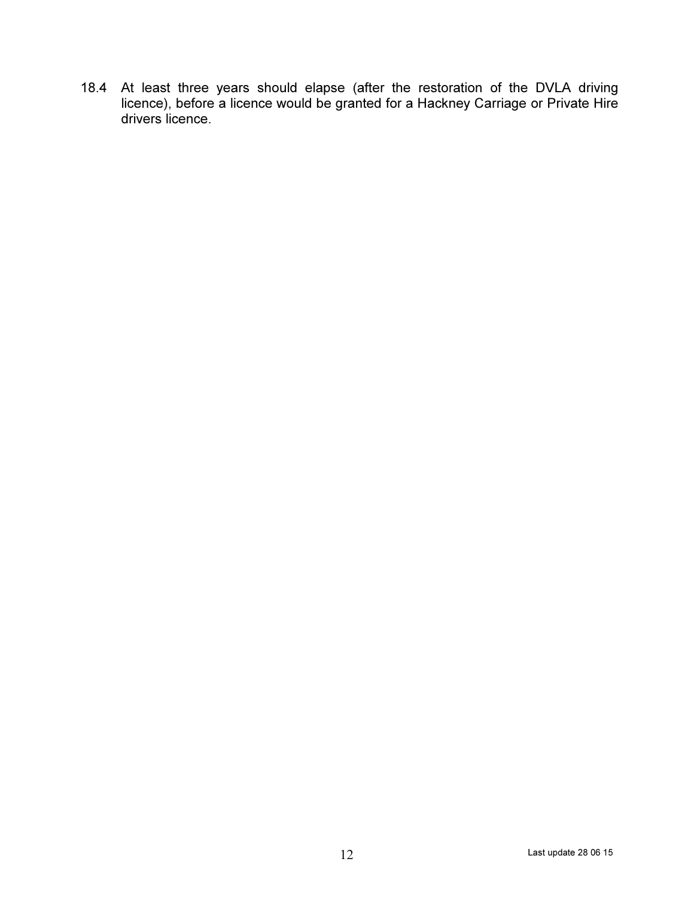18.4 At least three years should elapse (after the restoration of the DVLA driving licence), before a licence would be granted for a Hackney Carriage or Private Hire drivers licence.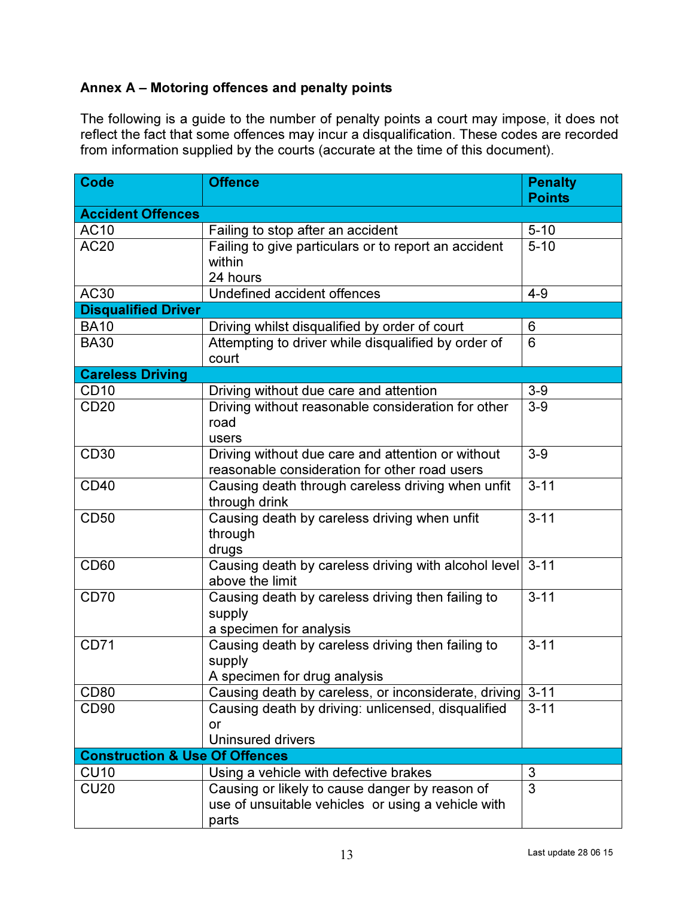# Annex A – Motoring offences and penalty points

The following is a guide to the number of penalty points a court may impose, it does not reflect the fact that some offences may incur a disqualification. These codes are recorded from information supplied by the courts (accurate at the time of this document).

| <b>Code</b>                               | <b>Offence</b>                                                                                       | <b>Penalty</b><br><b>Points</b> |
|-------------------------------------------|------------------------------------------------------------------------------------------------------|---------------------------------|
| <b>Accident Offences</b>                  |                                                                                                      |                                 |
| <b>AC10</b>                               | Failing to stop after an accident                                                                    | $5 - 10$                        |
| <b>AC20</b>                               | Failing to give particulars or to report an accident                                                 | $5 - 10$                        |
|                                           | within                                                                                               |                                 |
|                                           | 24 hours                                                                                             |                                 |
| AC30                                      | Undefined accident offences                                                                          | $4 - 9$                         |
| <b>Disqualified Driver</b>                |                                                                                                      |                                 |
| <b>BA10</b>                               | Driving whilst disqualified by order of court                                                        | 6                               |
| <b>BA30</b>                               | Attempting to driver while disqualified by order of                                                  | 6                               |
|                                           | court                                                                                                |                                 |
| <b>Careless Driving</b>                   |                                                                                                      |                                 |
| CD <sub>10</sub>                          | Driving without due care and attention                                                               | $3-9$                           |
| <b>CD20</b>                               | Driving without reasonable consideration for other                                                   | $3-9$                           |
|                                           | road                                                                                                 |                                 |
|                                           | users                                                                                                |                                 |
| <b>CD30</b>                               | Driving without due care and attention or without                                                    | $3-9$                           |
|                                           | reasonable consideration for other road users                                                        |                                 |
| <b>CD40</b>                               | Causing death through careless driving when unfit                                                    | $3 - 11$                        |
|                                           | through drink                                                                                        |                                 |
| <b>CD50</b>                               | Causing death by careless driving when unfit                                                         | $3 - 11$                        |
|                                           | through                                                                                              |                                 |
|                                           | drugs                                                                                                |                                 |
| <b>CD60</b>                               | Causing death by careless driving with alcohol level                                                 | $3 - 11$                        |
|                                           | above the limit                                                                                      |                                 |
| <b>CD70</b>                               | Causing death by careless driving then failing to                                                    | $3 - 11$                        |
|                                           | supply                                                                                               |                                 |
|                                           | a specimen for analysis                                                                              |                                 |
| <b>CD71</b>                               | Causing death by careless driving then failing to                                                    | $3 - 11$                        |
|                                           | supply                                                                                               |                                 |
|                                           | A specimen for drug analysis                                                                         |                                 |
| <b>CD80</b>                               | Causing death by careless, or inconsiderate, driving                                                 | $3 - 11$                        |
| CD <sub>90</sub>                          | Causing death by driving: unlicensed, disqualified                                                   | $3 - 11$                        |
|                                           | or<br><b>Uninsured drivers</b>                                                                       |                                 |
| <b>Construction &amp; Use Of Offences</b> |                                                                                                      |                                 |
| <b>CU10</b>                               | Using a vehicle with defective brakes                                                                |                                 |
| CU20                                      |                                                                                                      | 3<br>3                          |
|                                           | Causing or likely to cause danger by reason of<br>use of unsuitable vehicles or using a vehicle with |                                 |
|                                           |                                                                                                      |                                 |
|                                           | parts                                                                                                |                                 |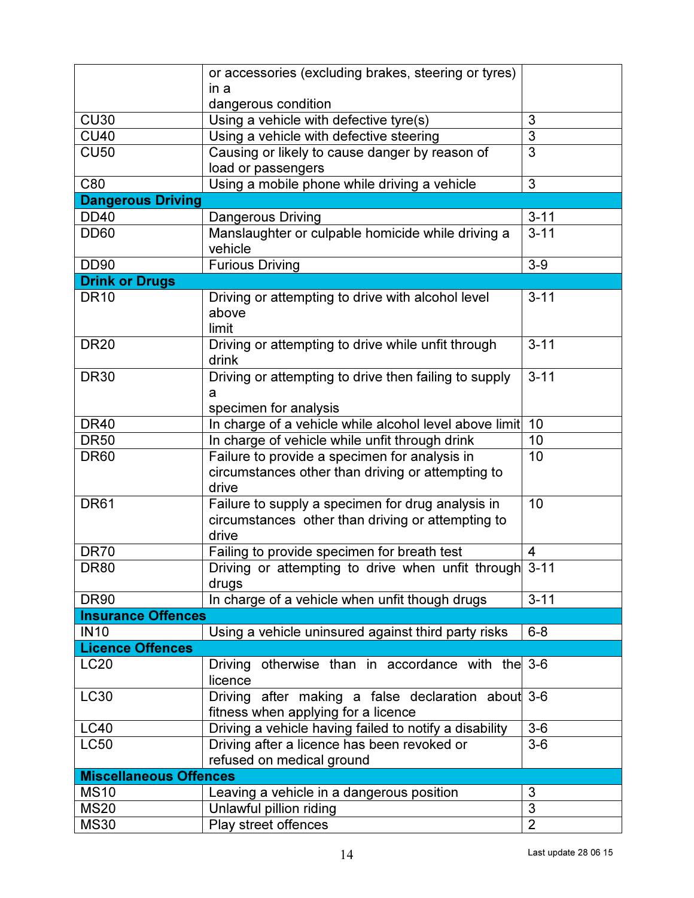|                                      | or accessories (excluding brakes, steering or tyres)                |                |
|--------------------------------------|---------------------------------------------------------------------|----------------|
|                                      | in a                                                                |                |
|                                      | dangerous condition                                                 |                |
| <b>CU30</b>                          | Using a vehicle with defective tyre(s)                              | 3              |
| <b>CU40</b>                          | Using a vehicle with defective steering                             | 3              |
| <b>CU50</b>                          | Causing or likely to cause danger by reason of                      | 3              |
|                                      | load or passengers                                                  |                |
| C80                                  | Using a mobile phone while driving a vehicle                        | 3              |
| <b>Dangerous Driving</b>             |                                                                     |                |
| <b>DD40</b>                          | Dangerous Driving                                                   | $3 - 11$       |
| <b>DD60</b>                          | Manslaughter or culpable homicide while driving a<br>vehicle        | $3 - 11$       |
| <b>DD90</b>                          | <b>Furious Driving</b>                                              | $3-9$          |
|                                      |                                                                     |                |
| <b>Drink or Drugs</b><br><b>DR10</b> |                                                                     | $3 - 11$       |
|                                      | Driving or attempting to drive with alcohol level<br>above<br>limit |                |
| <b>DR20</b>                          | Driving or attempting to drive while unfit through                  | $3 - 11$       |
|                                      | drink                                                               |                |
| <b>DR30</b>                          | Driving or attempting to drive then failing to supply               | $3 - 11$       |
|                                      | a                                                                   |                |
|                                      | specimen for analysis                                               |                |
| <b>DR40</b>                          | In charge of a vehicle while alcohol level above limit 10           |                |
| <b>DR50</b>                          | In charge of vehicle while unfit through drink                      | 10             |
| <b>DR60</b>                          | Failure to provide a specimen for analysis in                       | 10             |
|                                      | circumstances other than driving or attempting to                   |                |
|                                      | drive                                                               |                |
| <b>DR61</b>                          | Failure to supply a specimen for drug analysis in                   | 10             |
|                                      | circumstances other than driving or attempting to                   |                |
|                                      | drive                                                               |                |
| <b>DR70</b>                          | Failing to provide specimen for breath test                         | 4              |
| <b>DR80</b>                          | Driving or attempting to drive when unfit through 3-11<br>drugs     |                |
| <b>DR90</b>                          | In charge of a vehicle when unfit though drugs                      | $3 - 11$       |
| <b>Insurance Offences</b>            |                                                                     |                |
| <b>IN10</b>                          | Using a vehicle uninsured against third party risks                 | $6 - 8$        |
| <b>Licence Offences</b>              |                                                                     |                |
| <b>LC20</b>                          | Driving otherwise than in accordance with the 3-6                   |                |
|                                      | licence                                                             |                |
| <b>LC30</b>                          | Driving after making a false declaration about 3-6                  |                |
|                                      | fitness when applying for a licence                                 |                |
| <b>LC40</b>                          | Driving a vehicle having failed to notify a disability              | $3-6$          |
| <b>LC50</b>                          | Driving after a licence has been revoked or                         | $3-6$          |
|                                      | refused on medical ground                                           |                |
| <b>Miscellaneous Offences</b>        |                                                                     |                |
| <b>MS10</b>                          | Leaving a vehicle in a dangerous position                           | 3              |
| <b>MS20</b>                          | Unlawful pillion riding                                             | 3              |
| <b>MS30</b>                          | Play street offences                                                | $\overline{2}$ |